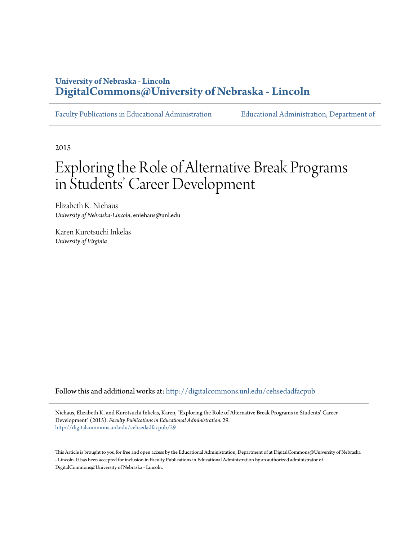### **University of Nebraska - Lincoln [DigitalCommons@University of Nebraska - Lincoln](http://digitalcommons.unl.edu?utm_source=digitalcommons.unl.edu%2Fcehsedadfacpub%2F29&utm_medium=PDF&utm_campaign=PDFCoverPages)**

[Faculty Publications in Educational Administration](http://digitalcommons.unl.edu/cehsedadfacpub?utm_source=digitalcommons.unl.edu%2Fcehsedadfacpub%2F29&utm_medium=PDF&utm_campaign=PDFCoverPages) [Educational Administration, Department of](http://digitalcommons.unl.edu/educ_admin?utm_source=digitalcommons.unl.edu%2Fcehsedadfacpub%2F29&utm_medium=PDF&utm_campaign=PDFCoverPages)

2015

# Exploring the Role of Alternative Break Programs in Students' Career Development

Elizabeth K. Niehaus *University of Nebraska-Lincoln*, eniehaus@unl.edu

Karen Kurotsuchi Inkelas *University of Virginia*

Follow this and additional works at: [http://digitalcommons.unl.edu/cehsedadfacpub](http://digitalcommons.unl.edu/cehsedadfacpub?utm_source=digitalcommons.unl.edu%2Fcehsedadfacpub%2F29&utm_medium=PDF&utm_campaign=PDFCoverPages)

Niehaus, Elizabeth K. and Kurotsuchi Inkelas, Karen, "Exploring the Role of Alternative Break Programs in Students' Career Development" (2015). *Faculty Publications in Educational Administration*. 29. [http://digitalcommons.unl.edu/cehsedadfacpub/29](http://digitalcommons.unl.edu/cehsedadfacpub/29?utm_source=digitalcommons.unl.edu%2Fcehsedadfacpub%2F29&utm_medium=PDF&utm_campaign=PDFCoverPages)

This Article is brought to you for free and open access by the Educational Administration, Department of at DigitalCommons@University of Nebraska - Lincoln. It has been accepted for inclusion in Faculty Publications in Educational Administration by an authorized administrator of DigitalCommons@University of Nebraska - Lincoln.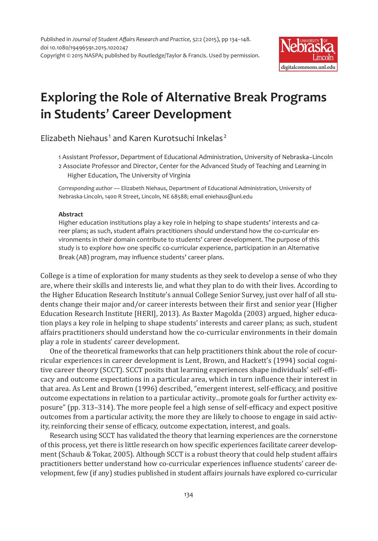

## **Exploring the Role of Alternative Break Programs in Students**' **Career Development**

Elizabeth Niehaus<sup>1</sup> and Karen Kurotsuchi Inkelas<sup>2</sup>

- 1 Assistant Professor, Department of Educational Administration, University of Nebraska–Lincoln
- 2 Associate Professor and Director, Center for the Advanced Study of Teaching and Learning in Higher Education, The University of Virginia

*Corresponding author* — Elizabeth Niehaus, Department of Educational Administration, University of Nebraska-Lincoln, 1400 R Street, Lincoln, NE 68588; email eniehaus@unl.edu

#### **Abstract**

Higher education institutions play a key role in helping to shape students' interests and career plans; as such, student affairs practitioners should understand how the co-curricular environments in their domain contribute to students' career development. The purpose of this study is to explore how one specific co-curricular experience, participation in an Alternative Break (AB) program, may influence students' career plans.

College is a time of exploration for many students as they seek to develop a sense of who they are, where their skills and interests lie, and what they plan to do with their lives. According to the Higher Education Research Institute's annual College Senior Survey, just over half of all students change their major and/or career interests between their first and senior year (Higher Education Research Institute [HERI], 2013). As Baxter Magolda (2003) argued, higher education plays a key role in helping to shape students' interests and career plans; as such, student affairs practitioners should understand how the co-curricular environments in their domain play a role in students' career development.

One of the theoretical frameworks that can help practitioners think about the role of cocurricular experiences in career development is Lent, Brown, and Hackett's (1994) social cognitive career theory (SCCT). SCCT posits that learning experiences shape individuals' self-efficacy and outcome expectations in a particular area, which in turn influence their interest in that area. As Lent and Brown (1996) described, "emergent interest, self-efficacy, and positive outcome expectations in relation to a particular activity…promote goals for further activity exposure" (pp. 313–314). The more people feel a high sense of self-efficacy and expect positive outcomes from a particular activity, the more they are likely to choose to engage in said activity, reinforcing their sense of efficacy, outcome expectation, interest, and goals.

Research using SCCT has validated the theory that learning experiences are the cornerstone of this process, yet there is little research on how specific experiences facilitate career development (Schaub & Tokar, 2005). Although SCCT is a robust theory that could help student affairs practitioners better understand how co-curricular experiences influence students' career development, few (if any) studies published in student affairs journals have explored co-curricular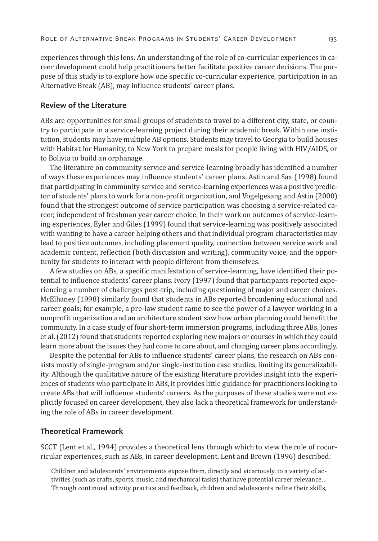experiences through this lens. An understanding of the role of co-curricular experiences in career development could help practitioners better facilitate positive career decisions. The purpose of this study is to explore how one specific co-curricular experience, participation in an Alternative Break (AB), may influence students' career plans.

#### **Review of the Literature**

ABs are opportunities for small groups of students to travel to a different city, state, or country to participate in a service-learning project during their academic break. Within one institution, students may have multiple AB options. Students may travel to Georgia to build houses with Habitat for Humanity, to New York to prepare meals for people living with HIV/AIDS, or to Bolivia to build an orphanage.

The literature on community service and service-learning broadly has identified a number of ways these experiences may influence students' career plans. Astin and Sax (1998) found that participating in community service and service-learning experiences was a positive predictor of students' plans to work for a non-profit organization, and Vogelgesang and Astin (2000) found that the strongest outcome of service participation was choosing a service-related career, independent of freshman year career choice. In their work on outcomes of service-learning experiences, Eyler and Giles (1999) found that service-learning was positively associated with wanting to have a career helping others and that individual program characteristics may lead to positive outcomes, including placement quality, connection between service work and academic content, reflection (both discussion and writing), community voice, and the opportunity for students to interact with people different from themselves.

A few studies on ABs, a specific manifestation of service-learning, have identified their potential to influence students' career plans. Ivory (1997) found that participants reported experiencing a number of challenges post-trip, including questioning of major and career choices. McElhaney (1998) similarly found that students in ABs reported broadening educational and career goals; for example, a pre-law student came to see the power of a lawyer working in a nonprofit organization and an architecture student saw how urban planning could benefit the community. In a case study of four short-term immersion programs, including three ABs, Jones et al. (2012) found that students reported exploring new majors or courses in which they could learn more about the issues they had come to care about, and changing career plans accordingly.

Despite the potential for ABs to influence students' career plans, the research on ABs consists mostly of single-program and/or single-institution case studies, limiting its generalizability. Although the qualitative nature of the existing literature provides insight into the experiences of students who participate in ABs, it provides little guidance for practitioners looking to create ABs that will influence students' careers. As the purposes of these studies were not explicitly focused on career development, they also lack a theoretical framework for understanding the role of ABs in career development.

#### **Theoretical Framework**

SCCT (Lent et al., 1994) provides a theoretical lens through which to view the role of cocurricular experiences, such as ABs, in career development. Lent and Brown (1996) described:

Children and adolescents' environments expose them, directly and vicariously, to a variety of activities (such as crafts, sports, music, and mechanical tasks) that have potential career relevance… Through continued activity practice and feedback, children and adolescents refine their skills,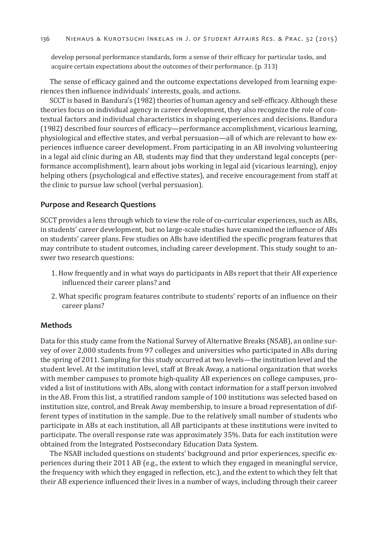develop personal performance standards, form a sense of their efficacy for particular tasks, and acquire certain expectations about the outcomes of their performance. (p. 313)

The sense of efficacy gained and the outcome expectations developed from learning experiences then influence individuals' interests, goals, and actions.

SCCT is based in Bandura's (1982) theories of human agency and self-efficacy. Although these theories focus on individual agency in career development, they also recognize the role of contextual factors and individual characteristics in shaping experiences and decisions. Bandura (1982) described four sources of efficacy—performance accomplishment, vicarious learning, physiological and effective states, and verbal persuasion—all of which are relevant to how experiences influence career development. From participating in an AB involving volunteering in a legal aid clinic during an AB, students may find that they understand legal concepts (performance accomplishment), learn about jobs working in legal aid (vicarious learning), enjoy helping others (psychological and effective states), and receive encouragement from staff at the clinic to pursue law school (verbal persuasion).

#### **Purpose and Research Questions**

SCCT provides a lens through which to view the role of co-curricular experiences, such as ABs, in students' career development, but no large-scale studies have examined the influence of ABs on students' career plans. Few studies on ABs have identified the specific program features that may contribute to student outcomes, including career development. This study sought to answer two research questions:

- 1. How frequently and in what ways do participants in ABs report that their AB experience influenced their career plans? and
- 2. What specific program features contribute to students' reports of an influence on their career plans?

#### **Methods**

Data for this study came from the National Survey of Alternative Breaks (NSAB), an online survey of over 2,000 students from 97 colleges and universities who participated in ABs during the spring of 2011. Sampling for this study occurred at two levels—the institution level and the student level. At the institution level, staff at Break Away, a national organization that works with member campuses to promote high-quality AB experiences on college campuses, provided a list of institutions with ABs, along with contact information for a staff person involved in the AB. From this list, a stratified random sample of 100 institutions was selected based on institution size, control, and Break Away membership, to insure a broad representation of different types of institution in the sample. Due to the relatively small number of students who participate in ABs at each institution, all AB participants at these institutions were invited to participate. The overall response rate was approximately 35%. Data for each institution were obtained from the Integrated Postsecondary Education Data System.

The NSAB included questions on students' background and prior experiences, specific experiences during their 2011 AB (e.g., the extent to which they engaged in meaningful service, the frequency with which they engaged in reflection, etc.), and the extent to which they felt that their AB experience influenced their lives in a number of ways, including through their career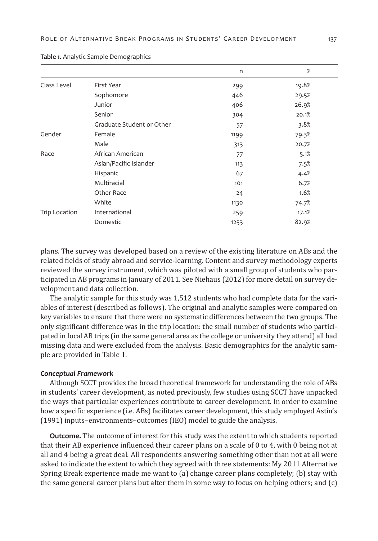|               |                           | n    | %     |
|---------------|---------------------------|------|-------|
| Class Level   | First Year                | 299  | 19.8% |
|               | Sophomore                 | 446  | 29.5% |
|               | Junior                    | 406  | 26.9% |
|               | Senior                    | 304  | 20.1% |
|               | Graduate Student or Other | 57   | 3.8%  |
| Gender        | Female                    | 1199 | 79.3% |
|               | Male                      | 313  | 20.7% |
| Race          | African American          | 77   | 5.1%  |
|               | Asian/Pacific Islander    | 113  | 7.5%  |
|               | Hispanic                  | 67   | 4.4%  |
|               | Multiracial               | 101  | 6.7%  |
|               | Other Race                | 24   | 1.6%  |
|               | White                     | 1130 | 74.7% |
| Trip Location | International             | 259  | 17.1% |
|               | Domestic                  | 1253 | 82.9% |

**Table 1.** Analytic Sample Demographics

plans. The survey was developed based on a review of the existing literature on ABs and the related fields of study abroad and service-learning. Content and survey methodology experts reviewed the survey instrument, which was piloted with a small group of students who participated in AB programs in January of 2011. See Niehaus (2012) for more detail on survey development and data collection.

The analytic sample for this study was 1,512 students who had complete data for the variables of interest (described as follows). The original and analytic samples were compared on key variables to ensure that there were no systematic differences between the two groups. The only significant difference was in the trip location: the small number of students who participated in local AB trips (in the same general area as the college or university they attend) all had missing data and were excluded from the analysis. Basic demographics for the analytic sample are provided in Table 1.

#### *Conceptual Framework*

Although SCCT provides the broad theoretical framework for understanding the role of ABs in students' career development, as noted previously, few studies using SCCT have unpacked the ways that particular experiences contribute to career development. In order to examine how a specific experience (i.e. ABs) facilitates career development, this study employed Astin's (1991) inputs–environments–outcomes (IEO) model to guide the analysis.

**Outcome.** The outcome of interest for this study was the extent to which students reported that their AB experience influenced their career plans on a scale of 0 to 4, with 0 being not at all and 4 being a great deal. All respondents answering something other than not at all were asked to indicate the extent to which they agreed with three statements: My 2011 Alternative Spring Break experience made me want to (a) change career plans completely; (b) stay with the same general career plans but alter them in some way to focus on helping others; and (c)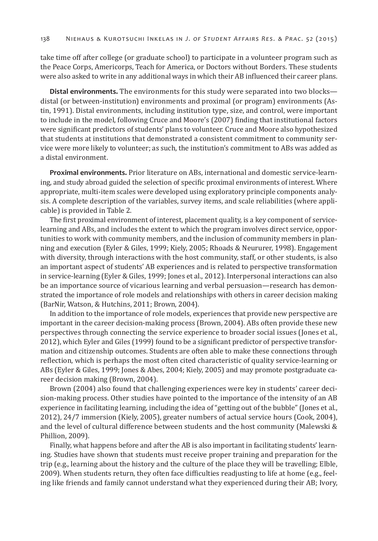take time off after college (or graduate school) to participate in a volunteer program such as the Peace Corps, Americorps, Teach for America, or Doctors without Borders. These students were also asked to write in any additional ways in which their AB influenced their career plans.

**Distal environments.** The environments for this study were separated into two blocks distal (or between-institution) environments and proximal (or program) environments (Astin, 1991). Distal environments, including institution type, size, and control, were important to include in the model, following Cruce and Moore's (2007) finding that institutional factors were significant predictors of students' plans to volunteer. Cruce and Moore also hypothesized that students at institutions that demonstrated a consistent commitment to community service were more likely to volunteer; as such, the institution's commitment to ABs was added as a distal environment.

**Proximal environments.** Prior literature on ABs, international and domestic service-learning, and study abroad guided the selection of specific proximal environments of interest. Where appropriate, multi-item scales were developed using exploratory principle components analysis. A complete description of the variables, survey items, and scale reliabilities (where applicable) is provided in Table 2.

The first proximal environment of interest, placement quality, is a key component of servicelearning and ABs, and includes the extent to which the program involves direct service, opportunities to work with community members, and the inclusion of community members in planning and execution (Eyler & Giles, 1999; Kiely, 2005; Rhoads & Neururer, 1998). Engagement with diversity, through interactions with the host community, staff, or other students, is also an important aspect of students' AB experiences and is related to perspective transformation in service-learning (Eyler & Giles, 1999; Jones et al., 2012). Interpersonal interactions can also be an importance source of vicarious learning and verbal persuasion—research has demonstrated the importance of role models and relationships with others in career decision making (BarNir, Watson, & Hutchins, 2011; Brown, 2004).

In addition to the importance of role models, experiences that provide new perspective are important in the career decision-making process (Brown, 2004). ABs often provide these new perspectives through connecting the service experience to broader social issues (Jones et al., 2012), which Eyler and Giles (1999) found to be a significant predictor of perspective transformation and citizenship outcomes. Students are often able to make these connections through reflection, which is perhaps the most often cited characteristic of quality service-learning or ABs (Eyler & Giles, 1999; Jones & Abes, 2004; Kiely, 2005) and may promote postgraduate career decision making (Brown, 2004).

Brown (2004) also found that challenging experiences were key in students' career decision-making process. Other studies have pointed to the importance of the intensity of an AB experience in facilitating learning, including the idea of "getting out of the bubble" (Jones et al., 2012), 24/7 immersion (Kiely, 2005), greater numbers of actual service hours (Cook, 2004), and the level of cultural difference between students and the host community (Malewski & Phillion, 2009).

Finally, what happens before and after the AB is also important in facilitating students' learning. Studies have shown that students must receive proper training and preparation for the trip (e.g., learning about the history and the culture of the place they will be travelling; Elble, 2009). When students return, they often face difficulties readjusting to life at home (e.g., feeling like friends and family cannot understand what they experienced during their AB; Ivory,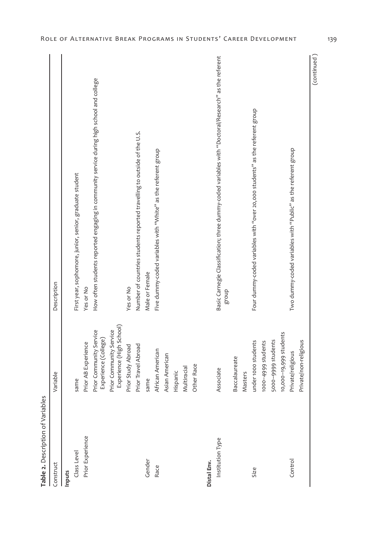| <b>Table 2.</b> Description of Variables |                                                     |                                                                                                               |
|------------------------------------------|-----------------------------------------------------|---------------------------------------------------------------------------------------------------------------|
| Construct                                | ariable                                             | Description                                                                                                   |
| Inputs                                   |                                                     |                                                                                                               |
| Class Level                              | same                                                | First year, sophomore, junior, senior, graduate student                                                       |
| Prior Experience                         | Prior AB Experience                                 | Yes or No                                                                                                     |
|                                          | Prior Community Service<br>Experience (College)     | How often students reported engaging in community service during high school and college                      |
|                                          | Experience (High School)<br>Prior Community Service |                                                                                                               |
|                                          | Prior Study Abroad                                  | Yes or No                                                                                                     |
|                                          | Prior Travel Abroad                                 | Number of countries students reported travelling to outside of the U.S.                                       |
| Gender                                   | same                                                | Male or Female                                                                                                |
| Race                                     | African American                                    | Five dummy-coded variables with "White" as the referent group                                                 |
|                                          | Asian American                                      |                                                                                                               |
|                                          | <b>Hispanic</b>                                     |                                                                                                               |
|                                          | Multiracial                                         |                                                                                                               |
|                                          | Other Race                                          |                                                                                                               |
| Distal Env.                              |                                                     |                                                                                                               |
| Institution Type                         | Associate                                           | Basic Carnegie Classification; three dummy-coded variables with "Doctoral/Research" as the referent<br>dno.la |
|                                          | <b>Baccalaureate</b>                                |                                                                                                               |
|                                          | Masters                                             |                                                                                                               |
| Size                                     | under 1000 students                                 | Four dummy-coded variables with "over 20,000 students" as the referent group                                  |
|                                          | 000-4999 students                                   |                                                                                                               |
|                                          | 5000-99999 students                                 |                                                                                                               |
|                                          | 0,000-19,999 students                               |                                                                                                               |
| Control                                  | Private/religious                                   | Two dummy-coded variables with "Public" as the referent group                                                 |
|                                          | Private/non-religious                               |                                                                                                               |
|                                          |                                                     | (continued)                                                                                                   |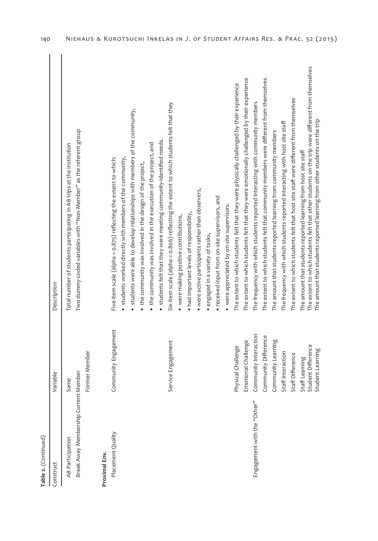| ı |
|---|
|   |
|   |
|   |
|   |

| Table 2. (Continued)                                     |                                                                                                                                                                          |                                                                                                                                                                                                                                                                                                                                                                                                                                                                                                                                                                                                                                                                            |
|----------------------------------------------------------|--------------------------------------------------------------------------------------------------------------------------------------------------------------------------|----------------------------------------------------------------------------------------------------------------------------------------------------------------------------------------------------------------------------------------------------------------------------------------------------------------------------------------------------------------------------------------------------------------------------------------------------------------------------------------------------------------------------------------------------------------------------------------------------------------------------------------------------------------------------|
| Construct                                                | Variable                                                                                                                                                                 | Description                                                                                                                                                                                                                                                                                                                                                                                                                                                                                                                                                                                                                                                                |
| Break Away Membership Current Member<br>AB Participation | Former Member<br>Same                                                                                                                                                    | Two dummy-coded variables with "Non-Member" as the referent group<br>Total number of students participating in AB trips at the institution                                                                                                                                                                                                                                                                                                                                                                                                                                                                                                                                 |
| Placement Quality<br>Proximal Env.                       | Community Engagement                                                                                                                                                     | students were able to develop relationships with members of the community,<br>Five-item scale (alpha = 0.875) reflecting the extent to which:<br>• students worked directly with members of the community,<br>the community was involved in the design of the project,                                                                                                                                                                                                                                                                                                                                                                                                     |
|                                                          | Service Engagement                                                                                                                                                       | Six-item scale (alpha = 0.806) reflecting the extent to which students felt that they<br>students felt that they were meeting community-identified needs.<br>• the community was involved in the execution of the project, and<br>. were active participants rather than observers,<br>· had important levels of responsibility,<br>· were making positive contributions,                                                                                                                                                                                                                                                                                                  |
|                                                          | Emotional Challenge<br>Physical Challenge                                                                                                                                | The extent to which students felt that they were emotionally challenged by their experience<br>The extent to which students felt that they were physically challenged by their experience<br>received input from on-site supervisors, and<br>• were appreciated by on-site supervisors.<br>· engaged in a variety of tasks,                                                                                                                                                                                                                                                                                                                                                |
| Engagement with the "Other"                              | Community Interaction<br>Community Difference<br>Community Learning<br>Staff Learning<br>Student Difference<br>Student Learning<br>Staff Interaction<br>Staff Difference | The extent to which students felt that other students on the trip were different from themselves<br>The extent to which students felt that community members were different from themselves<br>The extent to which students felt that host site staff were different from themselves<br>The frequency with which students reported interacting with community members<br>The amount that students reported learning from other students on the trip<br>The frequency with which students reported interacting with host site staff<br>The amount that students reported learning from community members<br>The amount that students reported learning from host site staff |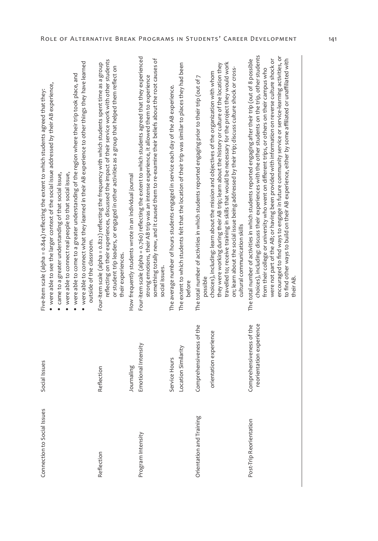| Connection to Social Issues | Social Issues                                        | were able to connect what they learned in their AB experience to other things they have learned<br>were able to come to a greater understanding of the region where their trip took place, and<br>• were able to see the larger context of the social issue addressed by their AB experience,<br>Five-item scale (alpha = 0.844) reflecting the extent to which students agreed that they:<br>were able to connect real people to that social issue,<br>came to a greater understanding of that social issue,<br>outside of the classroom.                                                                                          |
|-----------------------------|------------------------------------------------------|-------------------------------------------------------------------------------------------------------------------------------------------------------------------------------------------------------------------------------------------------------------------------------------------------------------------------------------------------------------------------------------------------------------------------------------------------------------------------------------------------------------------------------------------------------------------------------------------------------------------------------------|
| Reflection                  | Reflection                                           | reflecting on their experiences, discussed the impact of their service work with other students<br>Four-item scale (alpha = 0.822) reflecting the frequency with which students spent time as a group<br>or student trip leaders, or engaged in other activities as a group that helped them reflect on<br>their experiences.                                                                                                                                                                                                                                                                                                       |
|                             | Journaling                                           | How frequently students wrote in an individual journal                                                                                                                                                                                                                                                                                                                                                                                                                                                                                                                                                                              |
| Program Intensity           | Emotional Intensity                                  | Four-item scale (alpha = 0.760) reflecting the extent to which students agreed that they experienced<br>something totally new, and it caused them to re-examine their beliefs about the root causes of<br>strong emotions, their AB trip was an intense experience, it allowed them to experience<br>social issues.                                                                                                                                                                                                                                                                                                                 |
|                             | Service Hours                                        | The average number of hours students engaged in service each day of the AB experience.                                                                                                                                                                                                                                                                                                                                                                                                                                                                                                                                              |
|                             | Location Similarity                                  | The extent to which students felt that the location of their trip was similar to places they had been<br>before                                                                                                                                                                                                                                                                                                                                                                                                                                                                                                                     |
| Orientation and Training    | Comprehensiveness of the                             | The total number of activities in which students reported engaging prior to their trip (out of 7<br>possible                                                                                                                                                                                                                                                                                                                                                                                                                                                                                                                        |
|                             | orientation experience                               | travelled to; receive training in skills that would be necessary for the project they would work<br>they were working during their AB trip; learn about the history or culture of the location they<br>on; learn about the social issue being addressed by their trip; discuss culture shock or cross-<br>choices), including: learn about the mission and objectives of the organization with whom<br>cultural communication skills                                                                                                                                                                                                |
| Post-Trip Reorientation     | reorientation experience<br>Comprehensiveness of the | choices), including: discuss their experiences with the other students on the trip, other students<br>encouraged to find ways to engage in future community service or service-learning activities, or<br>to find other ways to build on their AB experience, either by some affiliated or unaffiliated with<br>were not part of the AB; or having been provided with information on reverse culture shock or<br>The total number of activities in which students reported engaging after their trip (out of 8 possible<br>from their college or university who went on different trips, or others on their campus who<br>their AB. |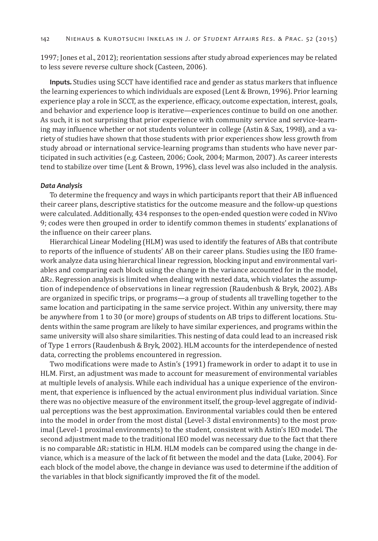1997; Jones et al., 2012); reorientation sessions after study abroad experiences may be related to less severe reverse culture shock (Casteen, 2006).

**Inputs.** Studies using SCCT have identified race and gender as status markers that influence the learning experiences to which individuals are exposed (Lent & Brown, 1996). Prior learning experience play a role in SCCT, as the experience, efficacy, outcome expectation, interest, goals, and behavior and experience loop is iterative—experiences continue to build on one another. As such, it is not surprising that prior experience with community service and service-learning may influence whether or not students volunteer in college (Astin & Sax, 1998), and a variety of studies have shown that those students with prior experiences show less growth from study abroad or international service-learning programs than students who have never participated in such activities (e.g. Casteen, 2006; Cook, 2004; Marmon, 2007). As career interests tend to stabilize over time (Lent & Brown, 1996), class level was also included in the analysis.

#### *Data Analysis*

To determine the frequency and ways in which participants report that their AB influenced their career plans, descriptive statistics for the outcome measure and the follow-up questions were calculated. Additionally, 434 responses to the open-ended question were coded in NVivo 9; codes were then grouped in order to identify common themes in students' explanations of the influence on their career plans.

Hierarchical Linear Modeling (HLM) was used to identify the features of ABs that contribute to reports of the influence of students' AB on their career plans. Studies using the IEO framework analyze data using hierarchical linear regression, blocking input and environmental variables and comparing each block using the change in the variance accounted for in the model, ΔR2. Regression analysis is limited when dealing with nested data, which violates the assumption of independence of observations in linear regression (Raudenbush & Bryk, 2002). ABs are organized in specific trips, or programs—a group of students all travelling together to the same location and participating in the same service project. Within any university, there may be anywhere from 1 to 30 (or more) groups of students on AB trips to different locations. Students within the same program are likely to have similar experiences, and programs within the same university will also share similarities. This nesting of data could lead to an increased risk of Type 1 errors (Raudenbush & Bryk, 2002). HLM accounts for the interdependence of nested data, correcting the problems encountered in regression.

Two modifications were made to Astin's (1991) framework in order to adapt it to use in HLM. First, an adjustment was made to account for measurement of environmental variables at multiple levels of analysis. While each individual has a unique experience of the environment, that experience is influenced by the actual environment plus individual variation. Since there was no objective measure of the environment itself, the group-level aggregate of individual perceptions was the best approximation. Environmental variables could then be entered into the model in order from the most distal (Level-3 distal environments) to the most proximal (Level-1 proximal environments) to the student, consistent with Astin's IEO model. The second adjustment made to the traditional IEO model was necessary due to the fact that there is no comparable ΔR2 statistic in HLM. HLM models can be compared using the change in deviance, which is a measure of the lack of fit between the model and the data (Luke, 2004). For each block of the model above, the change in deviance was used to determine if the addition of the variables in that block significantly improved the fit of the model.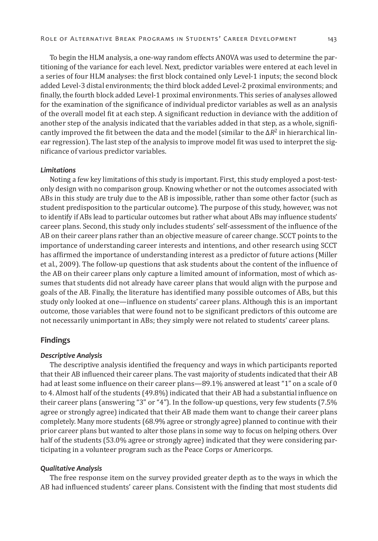To begin the HLM analysis, a one-way random effects ANOVA was used to determine the partitioning of the variance for each level. Next, predictor variables were entered at each level in a series of four HLM analyses: the first block contained only Level-1 inputs; the second block added Level-3 distal environments; the third block added Level-2 proximal environments; and finally, the fourth block added Level-1 proximal environments. This series of analyses allowed for the examination of the significance of individual predictor variables as well as an analysis of the overall model fit at each step. A significant reduction in deviance with the addition of another step of the analysis indicated that the variables added in that step, as a whole, significantly improved the fit between the data and the model (similar to the  $\Delta R^2$  in hierarchical linear regression). The last step of the analysis to improve model fit was used to interpret the significance of various predictor variables.

#### *Limitations*

Noting a few key limitations of this study is important. First, this study employed a post-testonly design with no comparison group. Knowing whether or not the outcomes associated with ABs in this study are truly due to the AB is impossible, rather than some other factor (such as student predisposition to the particular outcome). The purpose of this study, however, was not to identify if ABs lead to particular outcomes but rather what about ABs may influence students' career plans. Second, this study only includes students' self-assessment of the influence of the AB on their career plans rather than an objective measure of career change. SCCT points to the importance of understanding career interests and intentions, and other research using SCCT has affirmed the importance of understanding interest as a predictor of future actions (Miller et al., 2009). The follow-up questions that ask students about the content of the influence of the AB on their career plans only capture a limited amount of information, most of which assumes that students did not already have career plans that would align with the purpose and goals of the AB. Finally, the literature has identified many possible outcomes of ABs, but this study only looked at one—influence on students' career plans. Although this is an important outcome, those variables that were found not to be significant predictors of this outcome are not necessarily unimportant in ABs; they simply were not related to students' career plans.

#### **Findings**

#### *Descriptive Analysis*

The descriptive analysis identified the frequency and ways in which participants reported that their AB influenced their career plans. The vast majority of students indicated that their AB had at least some influence on their career plans—89.1% answered at least "1" on a scale of 0 to 4. Almost half of the students (49.8%) indicated that their AB had a substantial influence on their career plans (answering "3" or "4"). In the follow-up questions, very few students (7.5% agree or strongly agree) indicated that their AB made them want to change their career plans completely. Many more students (68.9% agree or strongly agree) planned to continue with their prior career plans but wanted to alter those plans in some way to focus on helping others. Over half of the students (53.0% agree or strongly agree) indicated that they were considering participating in a volunteer program such as the Peace Corps or Americorps.

#### *Qualitative Analysis*

The free response item on the survey provided greater depth as to the ways in which the AB had influenced students' career plans. Consistent with the finding that most students did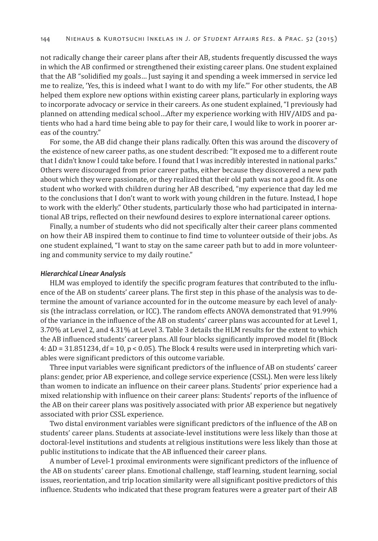not radically change their career plans after their AB, students frequently discussed the ways in which the AB confirmed or strengthened their existing career plans. One student explained that the AB "solidified my goals… Just saying it and spending a week immersed in service led me to realize, 'Yes, this is indeed what I want to do with my life.'" For other students, the AB helped them explore new options within existing career plans, particularly in exploring ways to incorporate advocacy or service in their careers. As one student explained, "I previously had planned on attending medical school…After my experience working with HIV/AIDS and patients who had a hard time being able to pay for their care, I would like to work in poorer areas of the country."

For some, the AB did change their plans radically. Often this was around the discovery of the existence of new career paths, as one student described: "It exposed me to a different route that I didn't know I could take before. I found that I was incredibly interested in national parks." Others were discouraged from prior career paths, either because they discovered a new path about which they were passionate, or they realized that their old path was not a good fit. As one student who worked with children during her AB described, "my experience that day led me to the conclusions that I don't want to work with young children in the future. Instead, I hope to work with the elderly." Other students, particularly those who had participated in international AB trips, reflected on their newfound desires to explore international career options.

Finally, a number of students who did not specifically alter their career plans commented on how their AB inspired them to continue to find time to volunteer outside of their jobs. As one student explained, "I want to stay on the same career path but to add in more volunteering and community service to my daily routine."

#### *Hierarchical Linear Analysis*

HLM was employed to identify the specific program features that contributed to the influence of the AB on students' career plans. The first step in this phase of the analysis was to determine the amount of variance accounted for in the outcome measure by each level of analysis (the intraclass correlation, or ICC). The random effects ANOVA demonstrated that 91.99% of the variance in the influence of the AB on students' career plans was accounted for at Level 1, 3.70% at Level 2, and 4.31% at Level 3. Table 3 details the HLM results for the extent to which the AB influenced students' career plans. All four blocks significantly improved model fit (Block  $4: \Delta D = 31.851234$ , df = 10, p < 0.05). The Block 4 results were used in interpreting which variables were significant predictors of this outcome variable.

Three input variables were significant predictors of the influence of AB on students' career plans: gender, prior AB experience, and college service experience (CSSL). Men were less likely than women to indicate an influence on their career plans. Students' prior experience had a mixed relationship with influence on their career plans: Students' reports of the influence of the AB on their career plans was positively associated with prior AB experience but negatively associated with prior CSSL experience.

Two distal environment variables were significant predictors of the influence of the AB on students' career plans. Students at associate-level institutions were less likely than those at doctoral-level institutions and students at religious institutions were less likely than those at public institutions to indicate that the AB influenced their career plans.

A number of Level-1 proximal environments were significant predictors of the influence of the AB on students' career plans. Emotional challenge, staff learning, student learning, social issues, reorientation, and trip location similarity were all significant positive predictors of this influence. Students who indicated that these program features were a greater part of their AB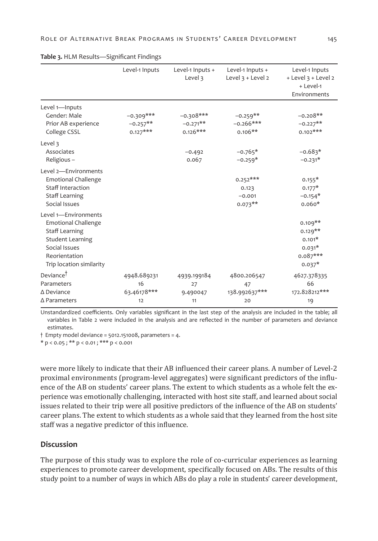|                                                                                                                                                               | Level-1 Inputs                          | Level-1 Inputs +<br>Level 3             | Level-1 Inputs +<br>Level 3 + Level 2        | Level-1 Inputs<br>+ Level 3 + Level 2                                    |
|---------------------------------------------------------------------------------------------------------------------------------------------------------------|-----------------------------------------|-----------------------------------------|----------------------------------------------|--------------------------------------------------------------------------|
|                                                                                                                                                               |                                         |                                         |                                              | $+$ Level-1<br>Environments                                              |
| Level 1-Inputs<br>Gender: Male<br>Prior AB experience<br>College CSSL                                                                                         | $-0.309***$<br>$-0.257**$<br>$0.127***$ | $-0.308***$<br>$-0.271**$<br>$0.126***$ | $-0.259**$<br>$-0.266***$<br>$0.106**$       | $-0.208**$<br>$-0.227**$<br>$0.102***$                                   |
| Level 3<br>Associates<br>Religious -                                                                                                                          |                                         | $-0.492$<br>0.067                       | $-0.765*$<br>$-0.259*$                       | $-0.683*$<br>$-0.231*$                                                   |
| Level 2-Environments<br><b>Emotional Challenge</b><br>Staff Interaction<br>Staff Learning<br>Social Issues                                                    |                                         |                                         | $0.252***$<br>0.123<br>$-0.001$<br>$0.073**$ | $0.155*$<br>$0.177*$<br>$-0.154*$<br>$0.060*$                            |
| Level 1-Environments<br><b>Emotional Challenge</b><br>Staff Learning<br><b>Student Learning</b><br>Social Issues<br>Reorientation<br>Trip location similarity |                                         |                                         |                                              | $0.109**$<br>$0.129**$<br>$0.101*$<br>$0.031*$<br>$0.087***$<br>$0.037*$ |
| Deviance <sup>†</sup><br>Parameters<br>$\Delta$ Deviance<br>$\Delta$ Parameters                                                                               | 4948.689231<br>16<br>63.46178***<br>12  | 4939.199184<br>27<br>9.490047<br>11     | 4800.206547<br>47<br>138.992637***<br>20     | 4627.378335<br>66<br>172.828212***<br>19                                 |

Unstandardized coefficients. Only variables significant in the last step of the analysis are included in the table; all variables in Table 2 were included in the analysis and are reflected in the number of parameters and deviance estimates.

 $\dagger$  Empty model deviance = 5012.151008, parameters = 4.

 $* p < 0.05$ ;  $** p < 0.01$ ;  $*** p < 0.001$ 

were more likely to indicate that their AB influenced their career plans. A number of Level-2 proximal environments (program-level aggregates) were significant predictors of the influence of the AB on students' career plans. The extent to which students as a whole felt the experience was emotionally challenging, interacted with host site staff, and learned about social issues related to their trip were all positive predictors of the influence of the AB on students' career plans. The extent to which students as a whole said that they learned from the host site staff was a negative predictor of this influence.

#### **Discussion**

The purpose of this study was to explore the role of co-curricular experiences as learning experiences to promote career development, specifically focused on ABs. The results of this study point to a number of ways in which ABs do play a role in students' career development,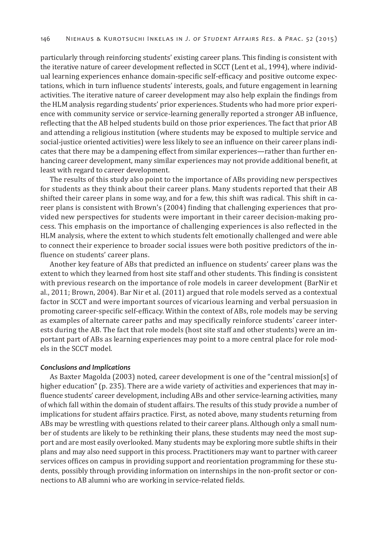particularly through reinforcing students' existing career plans. This finding is consistent with the iterative nature of career development reflected in SCCT (Lent et al., 1994), where individual learning experiences enhance domain-specific self-efficacy and positive outcome expectations, which in turn influence students' interests, goals, and future engagement in learning activities. The iterative nature of career development may also help explain the findings from the HLM analysis regarding students' prior experiences. Students who had more prior experience with community service or service-learning generally reported a stronger AB influence, reflecting that the AB helped students build on those prior experiences. The fact that prior AB and attending a religious institution (where students may be exposed to multiple service and social-justice oriented activities) were less likely to see an influence on their career plans indicates that there may be a dampening effect from similar experiences—rather than further enhancing career development, many similar experiences may not provide additional benefit, at least with regard to career development.

The results of this study also point to the importance of ABs providing new perspectives for students as they think about their career plans. Many students reported that their AB shifted their career plans in some way, and for a few, this shift was radical. This shift in career plans is consistent with Brown's (2004) finding that challenging experiences that provided new perspectives for students were important in their career decision-making process. This emphasis on the importance of challenging experiences is also reflected in the HLM analysis, where the extent to which students felt emotionally challenged and were able to connect their experience to broader social issues were both positive predictors of the influence on students' career plans.

Another key feature of ABs that predicted an influence on students' career plans was the extent to which they learned from host site staff and other students. This finding is consistent with previous research on the importance of role models in career development (BarNir et al., 2011; Brown, 2004). Bar Nir et al. (2011) argued that role models served as a contextual factor in SCCT and were important sources of vicarious learning and verbal persuasion in promoting career-specific self-efficacy. Within the context of ABs, role models may be serving as examples of alternate career paths and may specifically reinforce students' career interests during the AB. The fact that role models (host site staff and other students) were an important part of ABs as learning experiences may point to a more central place for role models in the SCCT model.

#### *Conclusions and Implications*

As Baxter Magolda (2003) noted, career development is one of the "central mission[s] of higher education" (p. 235). There are a wide variety of activities and experiences that may influence students' career development, including ABs and other service-learning activities, many of which fall within the domain of student affairs. The results of this study provide a number of implications for student affairs practice. First, as noted above, many students returning from ABs may be wrestling with questions related to their career plans. Although only a small number of students are likely to be rethinking their plans, these students may need the most support and are most easily overlooked. Many students may be exploring more subtle shifts in their plans and may also need support in this process. Practitioners may want to partner with career services offices on campus in providing support and reorientation programming for these students, possibly through providing information on internships in the non-profit sector or connections to AB alumni who are working in service-related fields.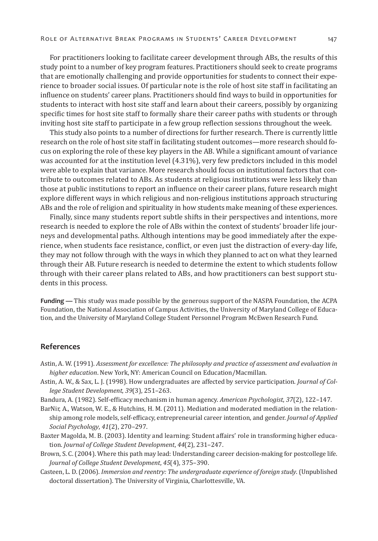For practitioners looking to facilitate career development through ABs, the results of this study point to a number of key program features. Practitioners should seek to create programs that are emotionally challenging and provide opportunities for students to connect their experience to broader social issues. Of particular note is the role of host site staff in facilitating an influence on students' career plans. Practitioners should find ways to build in opportunities for students to interact with host site staff and learn about their careers, possibly by organizing specific times for host site staff to formally share their career paths with students or through inviting host site staff to participate in a few group reflection sessions throughout the week.

This study also points to a number of directions for further research. There is currently little research on the role of host site staff in facilitating student outcomes—more research should focus on exploring the role of these key players in the AB. While a significant amount of variance was accounted for at the institution level (4.31%), very few predictors included in this model were able to explain that variance. More research should focus on institutional factors that contribute to outcomes related to ABs. As students at religious institutions were less likely than those at public institutions to report an influence on their career plans, future research might explore different ways in which religious and non-religious institutions approach structuring ABs and the role of religion and spirituality in how students make meaning of these experiences.

Finally, since many students report subtle shifts in their perspectives and intentions, more research is needed to explore the role of ABs within the context of students' broader life journeys and developmental paths. Although intentions may be good immediately after the experience, when students face resistance, conflict, or even just the distraction of every-day life, they may not follow through with the ways in which they planned to act on what they learned through their AB. Future research is needed to determine the extent to which students follow through with their career plans related to ABs, and how practitioners can best support students in this process.

**Funding —** This study was made possible by the generous support of the NASPA Foundation, the ACPA Foundation, the National Association of Campus Activities, the University of Maryland College of Education, and the University of Maryland College Student Personnel Program McEwen Research Fund.

#### **References**

Astin, A. W. (1991). *Assessment for excellence: The philosophy and practice of assessment and evaluation in higher education*. New York, NY: American Council on Education/Macmillan.

- Astin, A. W., & Sax, L. J. (1998). How undergraduates are affected by service participation. *Journal of College Student Development*, *39*(3), 251–263.
- Bandura, A. (1982). Self-efficacy mechanism in human agency. *American Psychologist*, *37*(2), 122–147.
- BarNir, A., Watson, W. E., & Hutchins, H. M. (2011). Mediation and moderated mediation in the relationship among role models, self-efficacy, entrepreneurial career intention, and gender. *Journal of Applied Social Psychology*, *41*(2), 270–297.
- Baxter Magolda, M. B. (2003). Identity and learning: Student affairs' role in transforming higher education. *Journal of College Student Development*, *44*(2), 231–247.
- Brown, S. C. (2004). Where this path may lead: Understanding career decision-making for postcollege life. *Journal of College Student Development*, *45*(4), 375–390.
- Casteen, L. D. (2006). *Immersion and reentry: The undergraduate experience of foreign study*. (Unpublished doctoral dissertation). The University of Virginia, Charlottesville, VA.